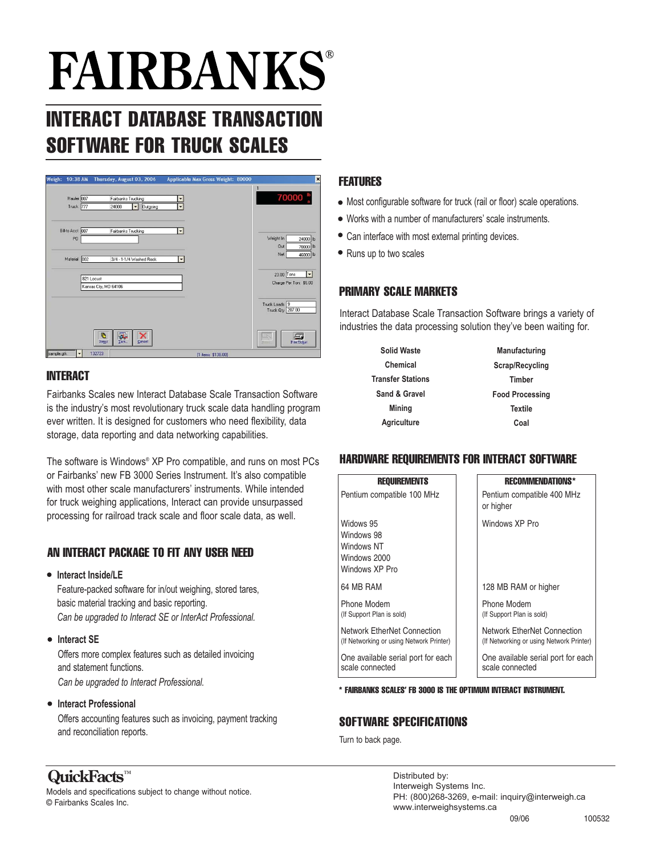# **FAIRBANKS**

## INTERACT DATABASE TRANSACTION SOFTWARE FOR TRUCK SCALES

|                         |            | Weigh: 10:38 AM Thursday, August 03, 2006                                  | Applicable Max Gross Weight: 80000 | $\boldsymbol{\mathsf{x}}$                                |
|-------------------------|------------|----------------------------------------------------------------------------|------------------------------------|----------------------------------------------------------|
| Hauler 007<br>Truck 777 |            | Fairbanks Trucking<br>24000<br><b>Outgoing</b><br>$\vert \mathbf{v} \vert$ |                                    | $70000^{\circ}$                                          |
| Bill-to Acct 007<br>PO  |            | Fairbanks Trucking                                                         | $\overline{\phantom{a}}$           | Weight In<br>24000 lb<br>Out<br>70000 lb                 |
| Material 002            |            | 3/4 - 1-1/4 Washed Rock                                                    | $\cdot$                            | 46000 lb<br>Net<br>23.00 Tons<br>$\overline{\mathbf{v}}$ |
|                         | 821 Locust | Kansas City, MD 64106                                                      |                                    | Charge Per Ton: \$6.00                                   |
|                         |            |                                                                            |                                    | Truck Loads <sup>9</sup><br>Truck Qty 207.00             |
|                         |            | G<br>$\mathcal{A}$<br>Cancel<br>Tare<br>Items                              |                                    | ø<br>Print Ticket                                        |
| sample.gtk              | 132723     |                                                                            | [1 items \$138.00]                 |                                                          |

#### INTERACT

Fairbanks Scales new Interact Database Scale Transaction Software is the industry's most revolutionary truck scale data handling program ever written. It is designed for customers who need flexibility, data storage, data reporting and data networking capabilities.

The software is Windows® XP Pro compatible, and runs on most PCs or Fairbanks' new FB 3000 Series Instrument. It's also compatible with most other scale manufacturers' instruments. While intended for truck weighing applications, Interact can provide unsurpassed processing for railroad track scale and floor scale data, as well.

#### AN INTERACT PACKAGE TO FIT ANY USER NEED

#### **Interact Inside/LE**

Feature-packed software for in/out weighing, stored tares, basic material tracking and basic reporting. *Can be upgraded to Interact SE or InterAct Professional.*

#### $\bullet$  Interact SE

Offers more complex features such as detailed invoicing and statement functions. *Can be upgraded to Interact Professional.*

#### **Interact Professional**

Offers accounting features such as invoicing, payment tracking and reconciliation reports.

#### FEATURES

- Most configurable software for truck (rail or floor) scale operations.
- Works with a number of manufacturers' scale instruments.
- Can interface with most external printing devices.
- Runs up to two scales

#### PRIMARY SCALE MARKETS

Interact Database Scale Transaction Software brings a variety of industries the data processing solution they've been waiting for.

| <b>Solid Waste</b>       | <b>Manufacturing</b>   |  |  |
|--------------------------|------------------------|--|--|
| Chemical                 | Scrap/Recycling        |  |  |
| <b>Transfer Stations</b> | <b>Timber</b>          |  |  |
| Sand & Gravel            | <b>Food Processing</b> |  |  |
| <b>Mining</b>            | <b>Textile</b>         |  |  |
| <b>Agriculture</b>       | Coal                   |  |  |

#### HARDWARE REQUIREMENTS FOR INTERACT SOFTWARE

| <b>REOUIREMENTS</b>                                                     |  | <b>RECOMMENDATIONS*</b>                                                        |
|-------------------------------------------------------------------------|--|--------------------------------------------------------------------------------|
| Pentium compatible 100 MHz                                              |  | Pentium compatible 400 MHz<br>or higher                                        |
| Widows 95<br>Windows 98<br>Windows NT<br>Windows 2000<br>Windows XP Pro |  | Windows XP Pro                                                                 |
| 64 MB RAM                                                               |  | 128 MB RAM or higher                                                           |
| Phone Modem<br>(If Support Plan is sold)                                |  | Phone Modem<br>(If Support Plan is sold)                                       |
| Network EtherNet Connection<br>(If Networking or using Network Printer) |  | <b>Network EtherNet Connection</b><br>(If Networking or using Network Printer) |
| One available serial port for each<br>scale connected                   |  | One available serial port for each<br>scale connected                          |

\* FAIRBANKS SCALES' FB 3000 IS THE OPTIMUM INTERACT INSTRUMENT.

#### SOFTWARE SPECIFICATIONS

Turn to back page.

### **QuickFacts**™

Models and specifications subject to change without notice. © Fairbanks Scales Inc.